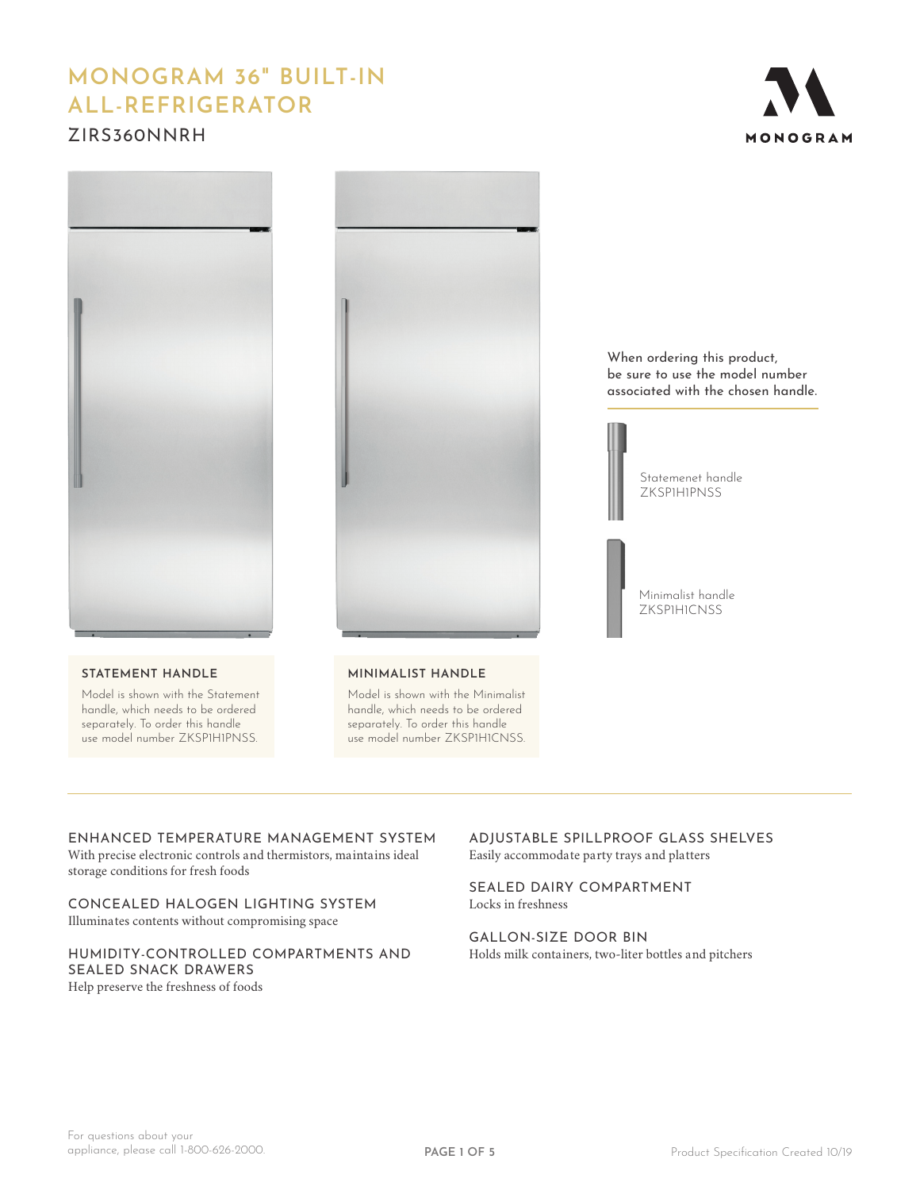# **MONOGRAM 36" BUILT-IN ALL-REFRIGERATOR**

## ZIRS360NNRH





## **STATEMENT HANDLE**

Model is shown with the Statement handle, which needs to be ordered separately. To order this handle use model number ZKSP1H1PNSS.



**MINIMALIST HANDLE**

Model is shown with the Minimalist handle, which needs to be ordered separately. To order this handle use model number ZKSP1H1CNSS.

When ordering this product, be sure to use the model number associated with the chosen handle.



Minimalist handle ZKSP1H1CNSS

## ENHANCED TEMPERATURE MANAGEMENT SYSTEM

With precise electronic controls and thermistors, maintains ideal storage conditions for fresh foods

CONCEALED HALOGEN LIGHTING SYSTEM Illuminates contents without compromising space

## HUMIDITY-CONTROLLED COMPARTMENTS AND SEALED SNACK DRAWERS Help preserve the freshness of foods

ADJUSTABLE SPILLPROOF GLASS SHELVES Easily accommodate party trays and platters

SEALED DAIRY COMPARTMENT Locks in freshness

GALLON-SIZE DOOR BIN Holds milk containers, two-liter bottles and pitchers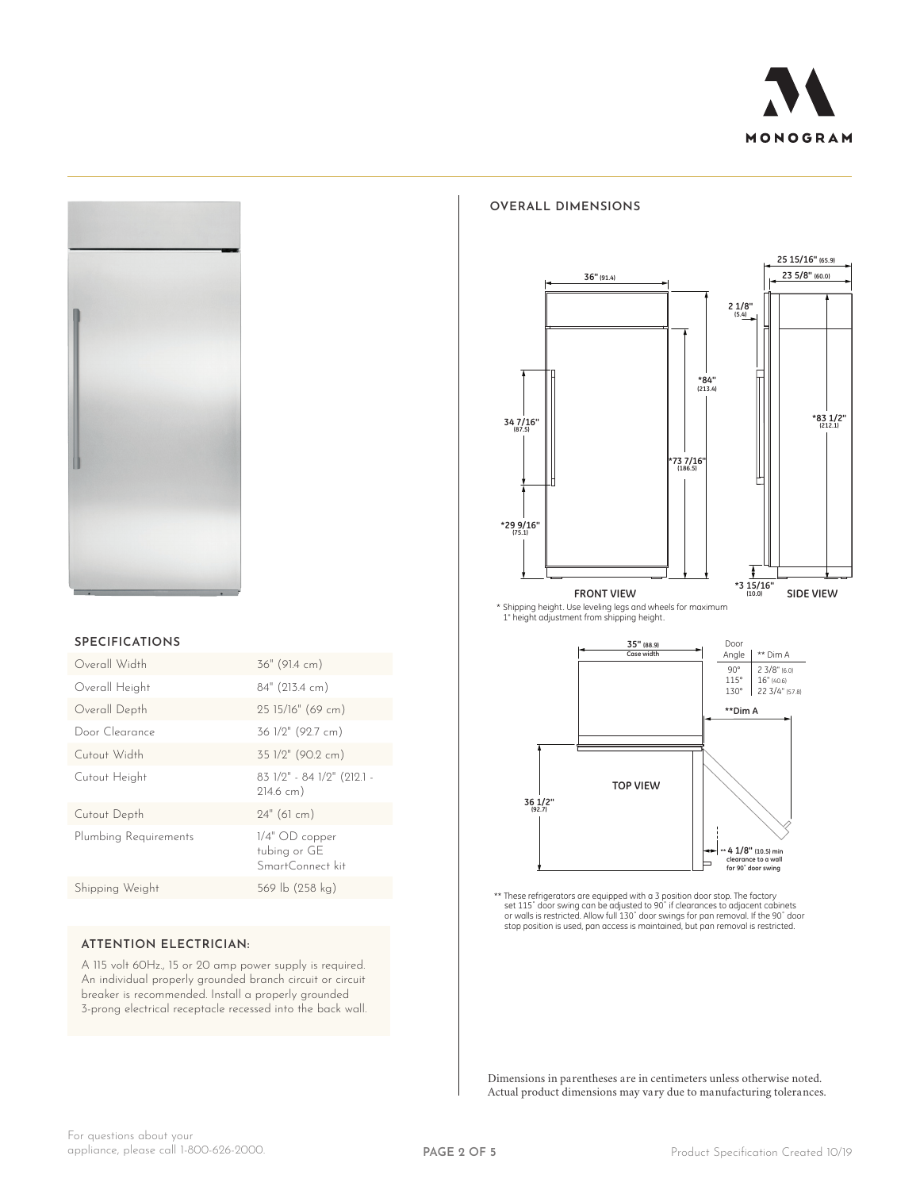



#### **SPECIFICATIONS**

| Overall Width         | 36" (91.4 cm)                                        |
|-----------------------|------------------------------------------------------|
| Overall Height        | 84" (213.4 cm)                                       |
| Overall Depth         | 25 15/16" (69 cm)                                    |
| Door Clearance        | 36 1/2" (92.7 cm)                                    |
| Cutout Width          | 35 1/2" (90.2 cm)                                    |
| Cutout Height         | 83 1/2" - 84 1/2" (212.1 -<br>$214.6$ cm)            |
| Cutout Depth          | $24"$ (61 cm)                                        |
| Plumbing Requirements | $1/4"$ OD copper<br>tubing or GE<br>SmartConnect kit |
| Shipping Weight       | 569 lb (258 kg)                                      |
|                       |                                                      |

## **ATTENTION ELECTRICIAN:**

A 115 volt 60Hz., 15 or 20 amp power supply is required. An individual properly grounded branch circuit or circuit breaker is recommended. Install a properly grounded 3-prong electrical receptacle recessed into the back wall.

#### **OVERALL DIMENSIONS**



\* Shipping height. Use leveling legs and wheels for maximum 1" height adjustment from shipping height.



\*\* These refrigerators are equipped with a 3 position door stop. The factory<br>set 115" door swing can be adjusted to 90" if clearances to adjacent cabinets<br>or walls is restricted. Allow full 130" door swings for pan removal

Dimensions in parentheses are in centimeters unless otherwise noted. Actual product dimensions may vary due to manufacturing tolerances.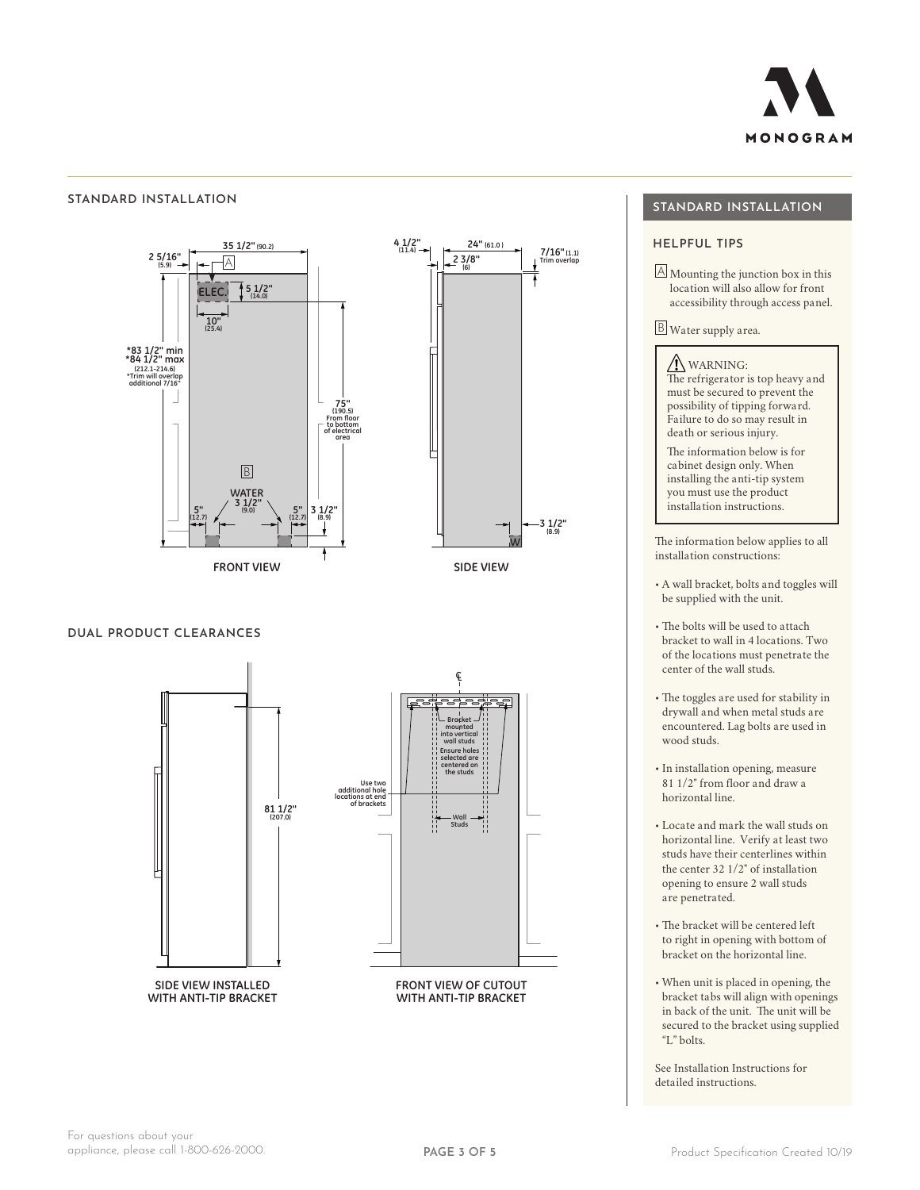

## **STANDARD INSTALLATION**



## **DUAL PRODUCT CLEARANCES**



## **STANDARD INSTALLATION**

 $\Delta$  Mounting the junction box in this location will also allow for front accessibility through access panel.

B Water supply area.

 WARNING: The refrigerator is top heavy and must be secured to prevent the possibility of tipping forward. Failure to do so may result in death or serious injury.

The information below is for cabinet design only. When installing the anti-tip system you must use the product installation instructions.

The information below applies to all installation constructions:

- A wall bracket, bolts and toggles will be supplied with the unit.
- The bolts will be used to attach bracket to wall in 4 locations. Two of the locations must penetrate the center of the wall studs.
- The toggles are used for stability in drywall and when metal studs are encountered. Lag bolts are used in wood studs.
- In installation opening, measure 81 1/2" from floor and draw a horizontal line.
- Locate and mark the wall studs on horizontal line. Verify at least two studs have their centerlines within the center 32 1/2" of installation opening to ensure 2 wall studs are penetrated.
- The bracket will be centered left to right in opening with bottom of bracket on the horizontal line.
- When unit is placed in opening, the bracket tabs will align with openings in back of the unit. The unit will be secured to the bracket using supplied "L" bolts.

See Installation Instructions for detailed instructions.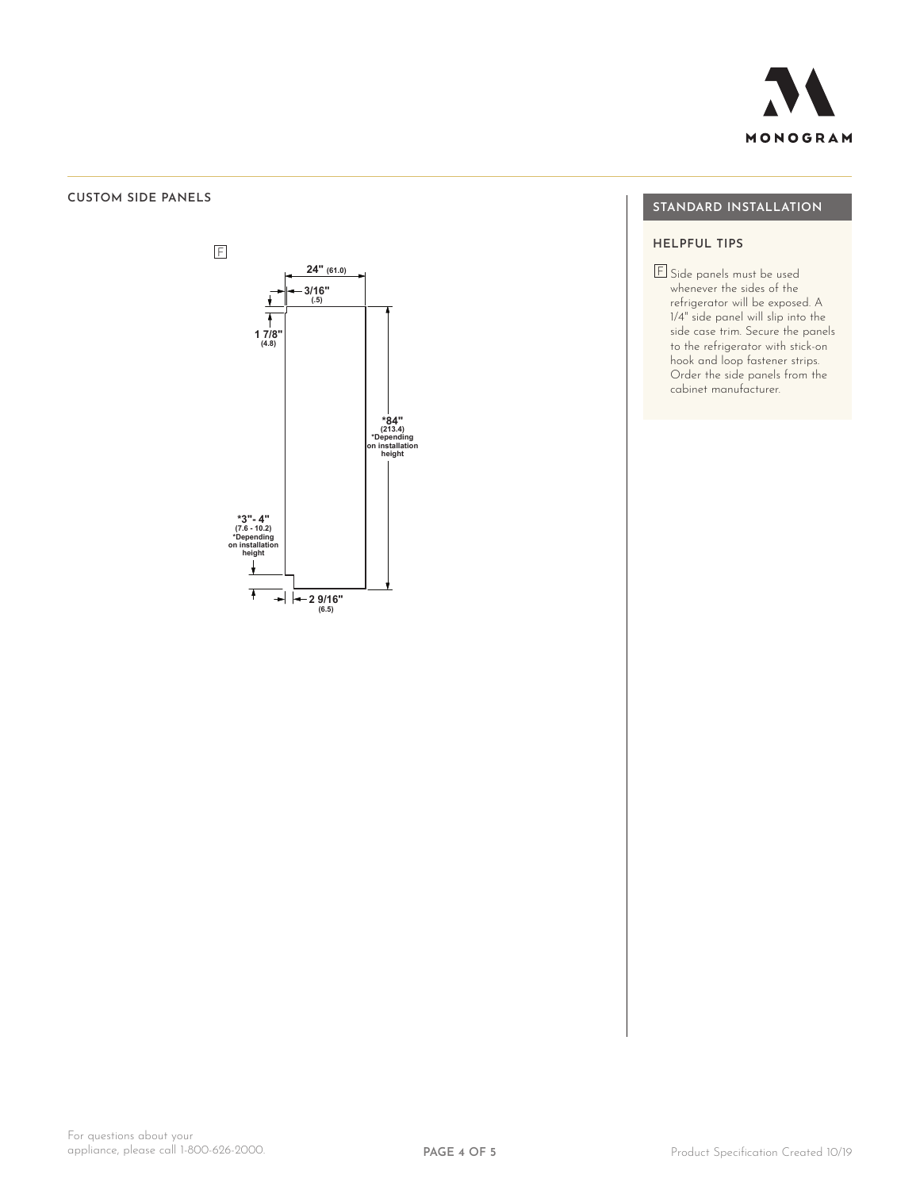

## **CUSTOM SIDE PANELS**



 $Z$ if360 $N$ ZIR360NXLH\_ZIR360NXRH\_ZIRP360NXLH\_ZIRP360NXRH\_ZIRS360NXLH\_ZIRS360NXRH

## **STANDARD INSTALLATION**

## **HELPFUL TIPS**

F Side panels must be used whenever the sides of the refrigerator will be exposed. A 1/4" side panel will slip into the side case trim. Secure the panels to the refrigerator with stick-on hook and loop fastener strips. Order the side panels from the cabinet manufacturer.